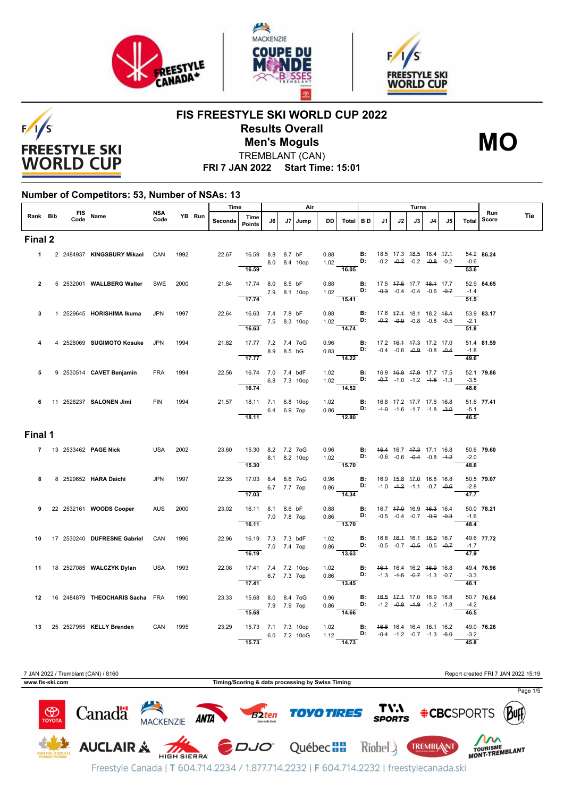





# $F/1/S$ **FREESTYLE SKI WORLD CUP**

#### **FIS FREESTYLE SKI WORLD CUP 2022 Results Overall** TREMBLANT (CAN) **Men's Moguls MO**

**FRI 7 JAN 2022 Start Time: 15:01**

#### **Number of Competitors: 53, Number of NSAs: 13**

|                |  |                  |                                      | <b>NSA</b> |      |        | Time    |                                                            |    |             | Air          |           |                                                                                                                                                           |    | Turns                                                                     |    |    |                                    |                             | Run                  |     |
|----------------|--|------------------|--------------------------------------|------------|------|--------|---------|------------------------------------------------------------|----|-------------|--------------|-----------|-----------------------------------------------------------------------------------------------------------------------------------------------------------|----|---------------------------------------------------------------------------|----|----|------------------------------------|-----------------------------|----------------------|-----|
| Rank Bib       |  | FIS Name<br>Code |                                      | Code       |      | YB Run | Seconds | Time<br><b>Points</b>                                      | J6 | J7          | Jump         | <b>DD</b> | Total BD                                                                                                                                                  | J1 | J2                                                                        | J3 | J4 | J5                                 | Total                       | Score                | Tie |
| Final 2        |  |                  |                                      |            |      |        |         |                                                            |    |             |              |           |                                                                                                                                                           |    |                                                                           |    |    |                                    |                             |                      |     |
| $1 \quad$      |  |                  | 2 2484937 KINGSBURY Mikael           | CAN        | 1992 |        |         | 22.67  16.59  8.8  8.7 bF<br>16.59                         |    |             | 8.0 8.4 10op |           | 0.88 <b>B</b> : 18.5 17.3 <del>18.5</del> 18.4 <del>17.1</del><br>1.02 <b>D:</b> -0.2 -0. <del>2</del> -0.2 -0. <del>8</del> -0.2<br>$\frac{1.02}{16.05}$ |    |                                                                           |    |    | $-0.2$ $-0.2$ $-0.2$ $-0.8$ $-0.2$ | $-0.6$<br>$\overline{53.6}$ | 54.2 86.24           |     |
| $\overline{2}$ |  |                  | 5 2532001 WALLBERG Walter            | SWE        | 2000 |        | 21.84   | 17.74 8.0 8.5 bF<br>$-$ 7.9 8.1 10op<br>$\overline{17.74}$ |    |             |              |           | 0.88 <b>B</b> : 17.5 4 <del>7.5</del> 17.7 48.4 17.7<br>1.02 <b>D:</b> -0.3 -0.4 -0.4 -0.6 -0.7<br>$\frac{125}{15.41}$                                    |    |                                                                           |    |    |                                    | $-1.4$<br>$\overline{51.5}$ | 52.9 84.65           |     |
| 3              |  |                  | 1 2529645 HORISHIMA Ikuma            | <b>JPN</b> | 1997 |        | 22.64   | 16.63 7.4 7.8 bF<br>7.5 8.3 10op<br>16.63                  |    |             |              |           | 0.88 <b>B:</b><br>1.02 <b>D:</b><br>14.74                                                                                                                 |    | 17.6 47.4 18.1 18.2 48.4<br>$-0.2$ $-0.9$ $-0.8$ $-0.8$ $-0.5$            |    |    |                                    | $-2.1$<br>51.8              | 53.9 83.17           |     |
| 4              |  |                  | 4 2528069 SUGIMOTO Kosuke            | JPN        | 1994 |        | 21.82   | 17.77 7.2 7.4 7oG<br>8.9 8.5 bG<br>17.77                   |    |             |              |           | 0.96 <b>B:</b> 17.2 46.4 47.3 17.2 17.0<br>0.83 <b>D:</b> -0.4 -0.6 -0.9 -0.8 -0.4<br>14.22                                                               |    |                                                                           |    |    |                                    | $-1.8$<br>49.6              | 51.4 81.59           |     |
| 5              |  |                  | 9 2530514 CAVET Benjamin             | <b>FRA</b> | 1994 |        | 22.56   | 16.74 7.0 7.4 bdF<br>16.74                                 |    |             | 6.8 7.3 10op |           | 1.02 <b>B:</b><br>1.02 <b>D:</b><br>$\frac{1}{14.52}$                                                                                                     |    | 16.9 46.9 47.9 17.7 17.5<br>$-0.7$ $-1.0$ $-1.2$ $-4.5$ $-1.3$            |    |    |                                    | $-3.5$<br>48.6              | 52.1 79.86           |     |
|                |  |                  | 6 11 2528237 SALONEN Jimi            | <b>FIN</b> | 1994 |        |         | 21.57  18.11  7.1  6.8  10op<br>$6.4$ 6.9 7op<br>18.11     |    |             |              |           | 1.02 <b>B</b> : 16.8 17.2 4 <del>7.7</del> 17.6 46.8<br>0.86 <b>D:</b> -4.0 -1.6 -1.7 -1.8 -3.0<br>$-12.80$                                               |    |                                                                           |    |    |                                    | $\overline{46.5}$           | 51.6 77.41<br>$-5.1$ |     |
| Final 1        |  |                  |                                      |            |      |        |         |                                                            |    |             |              |           |                                                                                                                                                           |    |                                                                           |    |    |                                    |                             |                      |     |
|                |  |                  | 7 13 2533462 PAGE Nick               | USA        | 2002 |        |         | 23.60  15.30  8.2  7.2  7oG<br>$-8.1$ 8.2 10op<br>15.30    |    |             |              |           | 0.96 <b>B:</b> 46.4 16.7 47.3 17.1 16.8<br>1.02 <b>D:</b> -0.6 -0.6 -0.4 -0.8 -4.2<br>$\frac{1}{15.70}$                                                   |    |                                                                           |    |    |                                    | $-2.0$<br>48.6              | 50.6 79.60           |     |
| 8              |  |                  | 8 2529652 HARA Daichi                | <b>JPN</b> | 1997 |        | 22.35   | 17.03 8.4 8.6 7oG<br>17.03                                 |    | 6.7 7.7 7op |              |           | 0.96 <b>B:</b><br>0.86 <b>D:</b><br>$\overline{14.34}$                                                                                                    |    | 16.9 <del>15.8 17.0</del> 16.8 16.8<br>$-1.0$ $-4.2$ $-1.1$ $-0.7$ $-0.6$ |    |    |                                    | $-2.8$<br>$\overline{47.7}$ | 50.5 79.07           |     |
|                |  |                  | 9 22 2532161 WOODS Cooper            | <b>AUS</b> | 2000 |        | 23.02   | 16.11 8.1 8.6 bF<br>7.0 7.8 7op<br>16.11                   |    |             |              |           | 0.88 <b>B:</b> 16.7 47.0 16.9 46.3 16.4<br>0.86 <b>D:</b> -0.5 -0.4 -0.7 -0.9 -0.3<br>$\frac{1}{13.70}$                                                   |    |                                                                           |    |    |                                    | $-1.6$<br>48.4              | 50.0 78.21           |     |
| 10             |  |                  | 17 2530240 DUFRESNE Gabriel          | CAN        | 1996 |        | 22.96   | 16.19 7.3 7.3 bdF<br>7.0 7.4 7op<br>16.19                  |    |             |              |           | 1.02 <b>B:</b><br>0.86 <b>D:</b><br>$-13.63$                                                                                                              |    | 16.8 46.4 16.1 46.9 16.7<br>$-0.5$ $-0.7$ $-0.5$ $-0.5$ $-0.7$            |    |    |                                    | $-1.7$<br>47.9              | 49.6 77.72           |     |
|                |  |                  | 11 18 2527085 WALCZYK Dylan          | USA 1993   |      |        | 22.08   | 17.41 7.4 7.2 10op<br>6.7 7.3 7ор<br>17.41                 |    |             |              |           | 1.02 <b>B</b> : 46.4 16.4 16.2 46.9 16.8<br>0.86 <b>D:</b> -1.3 -4.5 -0.7 -1.3 -0.7<br>13.45                                                              |    |                                                                           |    |    |                                    | $-3.3$<br>46.1              | 49.4 76.96           |     |
|                |  |                  | 12 16 2484879 THEOCHARIS Sacha FRA   |            | 1990 |        | 23.33   | 15.68 8.0 8.4 7 oG<br>15.68                                |    | 7.9 7.9 7op |              |           | 0.96 <b>B:</b> 46.5 47.4 17.0 16.9 16.8<br>0.86 <b>D:</b> -1.2 -0.8 -1.9 -1.2 -1.8<br>14.66                                                               |    |                                                                           |    |    |                                    | $-4.2$<br>46.5              | 50.7 76.84           |     |
|                |  |                  | 13 25 2527955 KELLY Brenden CAN 1995 |            |      |        |         | 23.29 15.73 7.1 7.3 10op<br>15.73                          |    |             | 6.0 7.2 10oG |           | 1.02 <b>B</b> : 46.8 16.4 16.4 <del>16.1</del> 16.2<br>1.12 <b>D:</b> -0.4 -1.2 -0.7 -1.3 -6.0<br>$\frac{1}{14.73}$                                       |    |                                                                           |    |    |                                    | $-3.2$<br>45.8              | 49.0 76.26           |     |

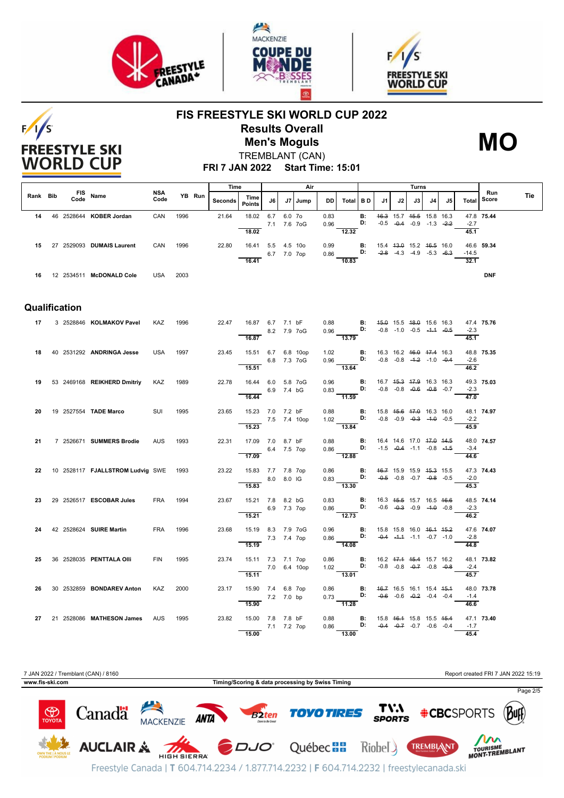

**FREESTYLE SKI WORLD CUP** 





### **FIS FREESTYLE SKI WORLD CUP 2022 Results Overall Men's Moguls MO**



**FRI 7 JAN 2022 Start Time: 15:01** TREMBLANT (CAN)

|          |               |                                       |                    |      |        | Time    |                                                         | Air          |        |         | Turns        |                                                                                                                                   |                                               |                                                |                                                                |    |    |     |                            |              |     |
|----------|---------------|---------------------------------------|--------------------|------|--------|---------|---------------------------------------------------------|--------------|--------|---------|--------------|-----------------------------------------------------------------------------------------------------------------------------------|-----------------------------------------------|------------------------------------------------|----------------------------------------------------------------|----|----|-----|----------------------------|--------------|-----|
| Rank Bib | Code          | FIS Name                              | <b>NSA</b><br>Code |      | YB Run | Seconds | Time<br><b>Points</b>                                   | J6 I         |        | J7 Jump | DD I         | Total BD                                                                                                                          |                                               | J1                                             | J2                                                             | J3 | J4 | .15 | Total I                    | Run<br>Score | Tie |
| 14       |               | 46 2528644 KOBER Jordan               | CAN                | 1996 |        | 21.64   | 18.02 6.7                                               | 7.1 7.6 7oG  | 6.0 7o |         | 0.83<br>0.96 |                                                                                                                                   | B:<br>D:                                      |                                                | 46.3 15.7 45.5 15.8 16.3<br>$-0.5$ $-0.4$ $-0.9$ $-1.3$ $-2.2$ |    |    |     | $-2.7$                     | 47.8 75.44   |     |
| 15       |               | 27 2529093 DUMAIS Laurent             | CAN                | 1996 |        | 22.80   | 18.02<br>16.41 5.5 4.5 10o                              | 6.7 7.0 7op  |        |         | 0.99         | 12.32<br>$0.86$ D:                                                                                                                | <b>B:</b>                                     | 15.4 43.0 15.2 46.5 16.0                       | $-2.8$ $-4.3$ $-4.9$ $-5.3$ $-6.3$                             |    |    |     | 45.1<br>$-14.5$            | 46.6 59.34   |     |
|          |               |                                       |                    |      |        |         | 16.41                                                   |              |        |         |              | 10.83                                                                                                                             |                                               |                                                |                                                                |    |    |     | 32.1                       |              |     |
|          |               | 16 12 2534511 McDONALD Cole           | USA                | 2003 |        |         |                                                         |              |        |         |              |                                                                                                                                   |                                               |                                                |                                                                |    |    |     |                            | <b>DNF</b>   |     |
|          | Qualification |                                       |                    |      |        |         |                                                         |              |        |         |              |                                                                                                                                   |                                               |                                                |                                                                |    |    |     |                            |              |     |
| 17       |               | 3 2528846 KOLMAKOV Pavel              | <b>KAZ</b>         | 1996 |        | 22.47   | 16.87 6.7 7.1 bF                                        | 8.2 7.9 7oG  |        |         |              | 0.88 <b>B:</b> 45.0 15.5 48.0 15.6 16.3<br>0.96 <b>D:</b> -0.8 -1.0 -0.5 -4.4 -0.5                                                |                                               |                                                |                                                                |    |    |     | $-2.3$                     | 47.4 75.76   |     |
|          |               |                                       |                    |      |        |         | 16.87                                                   |              |        |         |              | $\frac{1}{13.79}$                                                                                                                 |                                               |                                                |                                                                |    |    |     | 45.1                       |              |     |
| 18       |               | 40 2531292 ANDRINGA Jesse             | <b>USA</b>         | 1997 |        | 23.45   | 15.51 6.7 6.8 10op<br>6.8 7.3 7oG<br>$\overline{15.51}$ |              |        |         | 1.02         | 0.96 D: $-0.8$ $-0.8$ $-4.2$ $-1.0$ $-0.4$<br>$\overline{13.64}$                                                                  | <b>B:</b> 16.3 16.2 <del>16.0 17.4</del> 16.3 |                                                |                                                                |    |    |     | $-2.6$<br>46.2             | 48.8 75.35   |     |
|          |               | 19 53 2469168 REIKHERD Dmitriy        | KAZ                | 1989 |        | 22.78   | 16.44 6.0 5.8 7oG<br>16.44                              | 6.9 7.4 bG   |        |         | 0.96         | $0.83$ D:<br>11.59                                                                                                                | B:                                            | 16.7 4 <del>5.3</del> 47.9 16.3 16.3           | $-0.8$ $-0.8$ $-0.6$ $-0.8$ $-0.7$                             |    |    |     | $-2.3$<br>47.0             | 49.3 75.03   |     |
| 20       |               | 19 2527554 TADE Marco                 | SUI                | 1995 |        | 23.65   | 15.23 7.0 7.2 bF<br>7.5 7.4 10op<br>15.23               |              |        |         |              | 0.88 <b>B:</b> 15.8 4 <del>5.6</del> 47.0 16.3 16.0<br>1.02 <b>D:</b> -0.8 -0.9 -0. <del>3</del> -1.0 -0.5<br>$\frac{102}{13.84}$ |                                               |                                                |                                                                |    |    |     | $-2.2$<br>45.9             | 48.1 74.97   |     |
| 21       |               | 7 2526671 SUMMERS Brodie              | AUS                | 1993 |        | 22.31   | 17.09 7.0 8.7 bF                                        | 6.4 7.5 7op  |        |         | 0.88         | $0.86$ D:                                                                                                                         | <b>B:</b>                                     |                                                | 16.4 14.6 17.0 47.0 44.5<br>$-1.5$ $-0.4$ $-1.1$ $-0.8$ $-1.5$ |    |    |     | $-3.4$                     | 48.0 74.57   |     |
| 22       |               | 10 2528117 FJALLSTROM Ludvig SWE 1993 |                    |      |        | 23.22   | 17.09<br>15.83 7.7 7.8 7op<br>8.0 8.0 IG                |              |        |         | 0.86         | $-12.88$<br>$0.83$ D: $-0.5$ -0.8 -0.7 -0.8 -0.5                                                                                  | <b>B:</b> 46.7 15.9 15.9 45.3 15.5            |                                                |                                                                |    |    |     | 44.6<br>$-2.0$             | 47.3 74.43   |     |
| 23       |               | 29 2526517 ESCOBAR Jules              | <b>FRA</b>         | 1994 |        | 23.67   | 15.83<br>15.21 7.8 8.2 bG                               | 6.9 7.3 7op  |        |         | 0.83         | $\overline{13.30}$<br>$0.86$ D:                                                                                                   | <b>B:</b>                                     | 16.3 <del>15.5</del> 15.7 16.5 <del>16.6</del> | $-0.6$ $-0.3$ $-0.9$ $-4.0$ $-0.8$                             |    |    |     | 45.3<br>$-2.3$             | 48.5 74.14   |     |
| 24       |               | 42 2528624 SUIRE Martin               | <b>FRA</b>         | 1996 |        | 23.68   | 15.21<br>15.19 8.3 7.9 7oG                              |              |        |         |              | 12.73<br>$0.96$ B:<br>$0.86$ D: $-0.4$ $-1.1$ $-1.1$ $-0.7$ $-1.0$                                                                |                                               | 15.8 15.8 16.0 <del>16.1 15.2</del>            |                                                                |    |    |     | $\frac{1}{46.2}$           | 47.6 74.07   |     |
|          |               |                                       |                    |      |        |         | 7.3 7.4 7op<br>15.19                                    |              |        |         |              | $-14.08$                                                                                                                          |                                               |                                                |                                                                |    |    |     | $-2.8$<br>$\frac{1}{44.8}$ |              |     |
| 25       |               | 36 2528035 PENTTALA OIII              | <b>FIN</b>         | 1995 |        | 23.74   | 15.11 7.3 7.1 7op<br>15.11                              | 7.0 6.4 10op |        |         | 0.86<br>1.02 | $\overline{B}$ :<br>D:<br>13.01                                                                                                   |                                               | 16.2 47.4 45.4 15.7 16.2                       | $-0.8$ $-0.8$ $-0.7$ $-0.8$ $-0.8$                             |    |    |     | $-2.4$<br>45.7             | 48.1 73.82   |     |
| 26       |               | 30 2532859 BONDAREV Anton             | KAZ                | 2000 |        | 23.17   | 15.90 7.4 6.8 7op<br>7.2 7.0 bp<br>15.90                |              |        |         |              | 0.86 <b>B:</b> 46.7 16.5 16.1 15.4 45.4<br>0.73 <b>B:</b> -0.6 -0.6 -0.2 -0.4 -0.4<br>$-11.28$                                    |                                               |                                                |                                                                |    |    |     | $-1.4$<br>46.6             | 48.0 73.78   |     |
|          |               | 27 21 2528086 MATHESON James          | AUS                | 1995 |        | 23.82   | 15.00 7.8 7.8 bF<br>15.00                               | 7.1 7.2 7op  |        |         | 0.86         | 0.88 <b>B:</b> 15.8 46.4 15.8 15.5 45.4<br>0.86 <b>D:</b> -0.4 -0.7 -0.7 -0.6 -0.4<br>13.00                                       |                                               |                                                |                                                                |    |    |     | $-1.7$<br>45.4             | 47.1 73.40   |     |

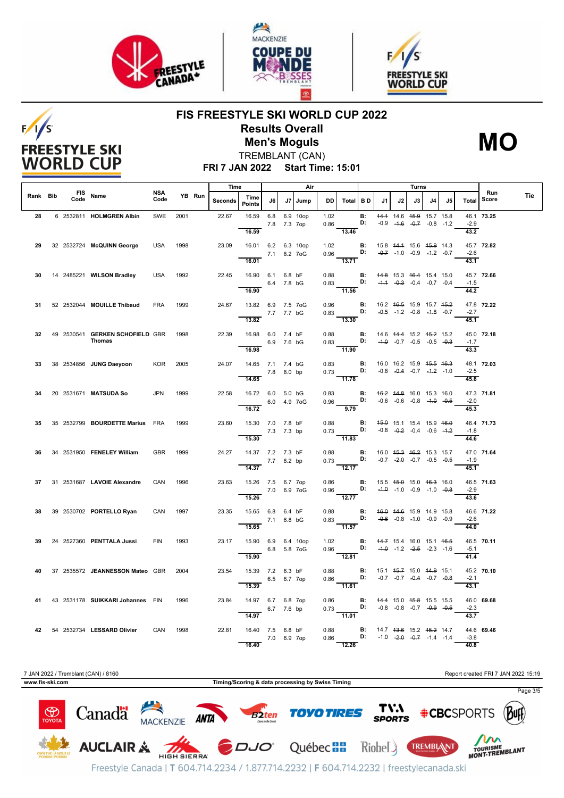

**FREESTYLE SKI WORLD CUP** 





### **FIS FREESTYLE SKI WORLD CUP 2022 Results Overall Men's Moguls MO**



**FRI 7 JAN 2022 Start Time: 15:01** TREMBLANT (CAN)

|          |      |                                                  |             |      |        | Time    |                                                        |                    |    | Air      |              |                                                                        |                 | Turns                                                                              |    |                                                                |      |    |                              |              |     |
|----------|------|--------------------------------------------------|-------------|------|--------|---------|--------------------------------------------------------|--------------------|----|----------|--------------|------------------------------------------------------------------------|-----------------|------------------------------------------------------------------------------------|----|----------------------------------------------------------------|------|----|------------------------------|--------------|-----|
| Rank Bib | Code | FIS Name                                         | NSA<br>Code |      | YB Run | Seconds | Time<br><b>Points</b>                                  | J6                 | J7 | Jump     | DD           | Total                                                                  | <b>BD</b>       | J1.                                                                                | J2 | J3                                                             | J4 l | J5 | Total                        | Run<br>Score | Tie |
| 28       |      | 6 2532811 HOLMGREN Albin                         | SWE         | 2001 |        | 22.67   | 16.59<br>16.59                                         | 6.8<br>7.8 7.3 7op |    | 6.9 10op | 1.02<br>0.86 | 13.46                                                                  | <b>B:</b><br>D: |                                                                                    |    | 44.4 14.6 45.9 15.7 15.8<br>$-0.9$ $-4.6$ $-0.7$ $-0.8$ $-1.2$ |      |    | $-2.9$<br>43.2               | 46.1 73.25   |     |
| 29       |      | 32 2532724 McQUINN George                        | <b>USA</b>  | 1998 |        | 23.09   | 16.01 6.2 6.3 10op<br>16.01                            | 7.1 8.2 7 oG       |    |          | 1.02         | 0.96 <b>D:</b> $-0.7$ -1.0 -0.9 -1.2 -0.7<br>$\overline{13.71}$        |                 | <b>B:</b> 15.8 44.4 15.6 45.9 14.3                                                 |    |                                                                |      |    | $-2.6$<br>43.1               | 45.7 72.82   |     |
| 30       |      | 14 2485221 WILSON Bradley                        | <b>USA</b>  | 1992 |        | 22.45   | 16.90 6.1 6.8 bF                                       | 6.4 7.8 bG         |    |          | 0.88         | $0.83$ D:                                                              |                 | <b>B:</b> 44.8 15.3 46.4 15.4 15.0                                                 |    | $-4.4$ $-0.3$ $-0.4$ $-0.7$ $-0.4$                             |      |    | $-1.5$                       | 45.7 72.66   |     |
| 31       |      | 52 2532044 MOUILLE Thibaud                       | <b>FRA</b>  | 1999 |        | 24.67   | 16.90<br>13.82 6.9 7.5 7oG<br>7.7 7.7 bG<br>13.82      |                    |    |          | 0.96         | $-11.56$<br>$0.83$ D: $-0.5$ -1.2 -0.8 -1.8 -0.7<br>$\frac{1}{13.30}$  |                 | <b>B:</b> 16.2 46.5 15.9 15.7 45.2                                                 |    |                                                                |      |    | 44.2<br>$-2.7$<br>45.1       | 47.8 72.22   |     |
| 32       |      | 49 2530541 GERKEN SCHOFIELD GBR<br><b>Thomas</b> |             | 1998 |        | 22.39   | 16.98 6.0 7.4 bF<br>16.98                              | 6.9 7.6 bG         |    |          | 0.88         | $0.83$ D:<br>$-11.90$                                                  |                 | <b>B:</b> 14.6 44.4 15.2 45.2 15.2                                                 |    | $-4.0$ $-0.7$ $-0.5$ $-0.5$ $-0.3$                             |      |    | $-1.7$<br>43.3               | 45.0 72.18   |     |
| 33       |      | 38 2534856 JUNG Daeyoon                          | KOR         | 2005 |        | 24.07   | 14.65 7.1 7.4 bG<br>14.65                              | 7.8 8.0 bp         |    |          |              | 0.83<br>$0.73$ D:<br>$-11.78$                                          |                 | <b>B:</b> 16.0 16.2 15.9 45.5 46.3                                                 |    | $-0.8$ $-0.4$ $-0.7$ $-4.2$ $-1.0$                             |      |    | $-2.5$<br>45.6               | 48.1 72.03   |     |
| 34       |      | 20 2531671 MATSUDA So                            | <b>JPN</b>  | 1999 |        | 22.58   | 16.72 6.0 5.0 bG<br>6.0 4.9 7 o G<br>16.72             |                    |    |          | 0.83<br>0.96 | <b>D:</b> $-0.6$ $-0.6$ $-0.8$ $-4.0$ $-0.5$<br>9.79                   |                 | <b>B:</b> 46.2 44.8 16.0 15.3 16.0                                                 |    |                                                                |      |    | $-2.0$<br>45.3               | 47.3 71.81   |     |
| 35       |      | 35 2532799 BOURDETTE Marius FRA                  |             | 1999 |        | 23.60   | 15.30 7.0 7.8 bF<br>15.30                              | 7.3 7.3 bp         |    |          | 0.88<br>0.73 | D:<br>$\frac{1}{11.83}$                                                | <b>B:</b>       |                                                                                    |    | 45.0 15.1 15.4 15.9 46.0<br>$-0.8$ $-0.2$ $-0.4$ $-0.6$ $-4.2$ |      |    | $-1.8$<br>44.6               | 46.4 71.73   |     |
| 36.      |      | 34 2531950 FENELEY William                       | <b>GBR</b>  | 1999 |        | 24.27   | 14.37 7.2 7.3 bF<br>$7.7$ 8.2 bp<br>$\overline{14.37}$ |                    |    |          | 0.88         | $0.73$ <b>D</b> :<br>$\frac{1}{12.17}$                                 | <b>B:</b>       | 16.0 <del>15.3 16.2</del> 15.3 15.7                                                |    | $-0.7$ $-2.0$ $-0.7$ $-0.5$ $-0.5$                             |      |    | $-1.9$<br>45.1               | 47.0 71.64   |     |
| 37       |      | 31 2531687 LAVOIE Alexandre                      | CAN         | 1996 |        | 23.63   | 15.26 7.5 6.7 7op<br>15.26                             | 7.0 6.9 7oG        |    |          | 0.86<br>0.96 | <b>D:</b> $-4.0$ $-1.0$ $-0.9$ $-1.0$ $-0.8$<br>12.77                  |                 | <b>B:</b> 15.5 4 <del>5.0</del> 15.0 46.3 16.0                                     |    |                                                                |      |    | $-2.9$<br>43.6               | 46.5 71.63   |     |
| 38.      |      | 39 2530702 PORTELLO Ryan                         | CAN         | 1997 |        | 23.35   | 15.65 6.8 6.4 bF<br>15.65                              | 7.1 6.8 bG         |    |          | 0.88<br>0.83 | D:<br>$-11.57$                                                         |                 | <b>B:</b> 46.0 44.6 15.9 14.9 15.8                                                 |    | $-0.6$ $-0.8$ $-4.0$ $-0.9$ $-0.9$                             |      |    | $-2.6$<br>44.0               | 46.6 71.22   |     |
| 39       |      | 24 2527360 PENTTALA Jussi                        | <b>FIN</b>  | 1993 |        | 23.17   | 15.90 6.9 6.4 10op<br>6.8 5.8 7oG<br>15.90             |                    |    |          | 1.02         | 0.96 <b>D:</b> $-4.0$ $-1.2$ $-2.5$ $-2.3$ $-1.6$<br>$\frac{1}{12.81}$ |                 | <b>B:</b> 44.7 15.4 16.0 15.1 46.5                                                 |    |                                                                |      |    | $-5.1$<br>$\frac{41.4}{9.6}$ | 46.5 70.11   |     |
| 40       |      | 37 2535572 JEANNESSON Mateo GBR                  |             | 2004 |        | 23.54   | 15.39 7.2 6.3 bF<br>15.39                              | 6.5 6.7 7op        |    |          | 0.88<br>0.86 | D:<br>11.61                                                            | <b>B:</b>       |                                                                                    |    | 15.1 45.7 15.0 44.9 15.1<br>$-0.7$ $-0.7$ $-0.4$ $-0.7$ $-0.8$ |      |    | $-2.1$<br>43.1               | 45.2 70.10   |     |
| 41       |      | 43 2531178 SUIKKARI Johannes FIN                 |             | 1996 |        | 23.84   | 14.97 6.7 6.8 7op<br>14.97                             | 6.7 7.6 bp         |    |          | 0.86         | 0.73<br>$-11.01$                                                       |                 | <b>B:</b> 44.4 15.0 45.8 15.5 15.5<br><b>D:</b> $-0.8$ $-0.8$ $-0.7$ $-0.9$ $-0.5$ |    |                                                                |      |    | $-2.3$<br>$\frac{1}{43.7}$   | 46.0 69.68   |     |
|          |      | 42 54 2532734 LESSARD Olivier                    | CAN         | 1998 |        | 22.81   | 16.40 7.5 6.8 bF<br>16.40                              | 7.0 6.9 7op        |    |          | 0.88<br>0.86 | 12.26                                                                  | D:              | <b>B:</b> 14.7 43.6 15.2 45.2 14.7                                                 |    | $-1.0$ $-2.0$ $-0.7$ $-1.4$ $-1.4$                             |      |    | $-3.8$<br>40.8               | 44.6 69.46   |     |

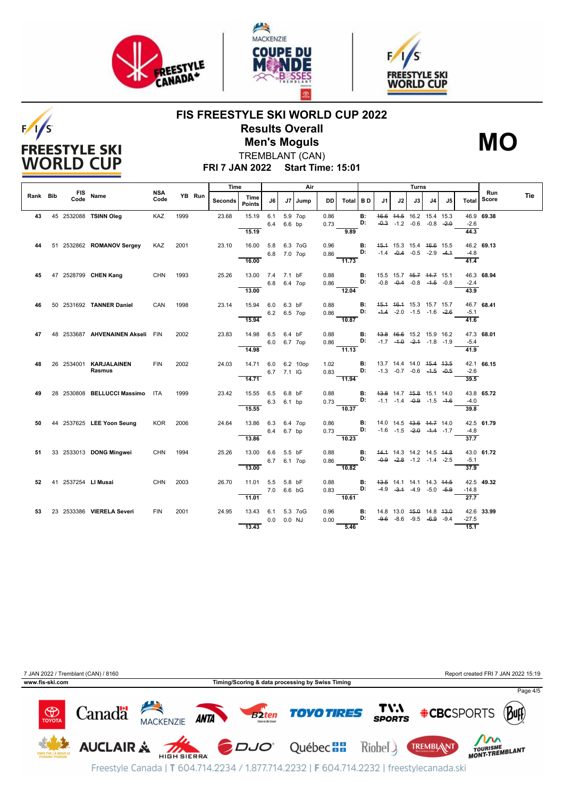

**FREESTYLE SKI WORLD CUP** 

![](_page_3_Picture_1.jpeg)

![](_page_3_Picture_2.jpeg)

### **FIS FREESTYLE SKI WORLD CUP 2022 Results Overall Men's Moguls MO**

![](_page_3_Picture_4.jpeg)

**FRI 7 JAN 2022 Start Time: 15:01** TREMBLANT (CAN)

|          |  |                                  |             |      |        | Time    |                       |              |             | Air     |      |                           |           |    |                                                                           |      | Turns |    |                  |              |     |  |  |
|----------|--|----------------------------------|-------------|------|--------|---------|-----------------------|--------------|-------------|---------|------|---------------------------|-----------|----|---------------------------------------------------------------------------|------|-------|----|------------------|--------------|-----|--|--|
| Rank Bib |  | FIS Name                         | NSA<br>Code |      | YB Run | Seconds | Time<br><b>Points</b> | J6 I         |             | J7 Jump | DD   | Total   B D               |           | J1 | J2                                                                        | J3 I | J4    | J5 | Total            | Run<br>Score | Tie |  |  |
| 43       |  | 45 2532088 TSINN Oleg            | KAZ         | 1999 |        | 23.68   | 15.19                 | 6.1          |             | 5.9 7op | 0.86 |                           | <b>B:</b> |    | 46.6 44.5 16.2 15.4 15.3                                                  |      |       |    |                  | 46.9 69.38   |     |  |  |
|          |  |                                  |             |      |        |         |                       | 6.4          | 6.6 bp      |         | 0.73 |                           | D:        |    | $-0.3$ $-1.2$ $-0.6$ $-0.8$ $-2.0$                                        |      |       |    | $-2.6$           |              |     |  |  |
|          |  |                                  |             |      |        |         | 15.19                 |              |             |         |      | 9.89                      |           |    |                                                                           |      |       |    | 44.3             |              |     |  |  |
| 44       |  | 51 2532862 ROMANOV Sergey        | KAZ         | 2001 |        | 23.10   | 16.00 5.8 6.3 7oG     |              |             |         | 0.96 |                           | В:        |    | 45.4 15.3 15.4 46.6 15.5                                                  |      |       |    |                  | 46.2 69.13   |     |  |  |
|          |  |                                  |             |      |        |         |                       | 6.8 7.0 7op  |             |         | 0.86 |                           | D:        |    | $-1.4$ $-0.4$ $-0.5$ $-2.9$ $-4.4$                                        |      |       |    | $-4.8$           |              |     |  |  |
|          |  |                                  |             |      |        |         | 16.00                 |              |             |         |      | 11.73                     |           |    |                                                                           |      |       |    | 41.4             |              |     |  |  |
|          |  |                                  |             |      |        |         |                       |              |             |         |      |                           |           |    |                                                                           |      |       |    |                  |              |     |  |  |
| 45       |  | 47 2528799 CHEN Kang             | CHN 1993    |      |        | 25.26   | 13.00 7.4 7.1 bF      |              |             |         | 0.88 |                           | B:        |    | 15.5 15.7 <del>15.7</del> <del>14.7</del> 15.1                            |      |       |    |                  | 46.3 68.94   |     |  |  |
|          |  |                                  |             |      |        |         |                       | 6.8          | 6.4 7op     |         | 0.86 |                           | D:        |    | $-0.8$ $-0.4$ $-0.8$ $-4.5$ $-0.8$                                        |      |       |    | $-2.4$           |              |     |  |  |
|          |  |                                  |             |      |        |         | 13.00                 |              |             |         |      | 12.04                     |           |    |                                                                           |      |       |    | 43.9             |              |     |  |  |
| 46       |  | 50 2531692 TANNER Daniel         | CAN         | 1998 |        | 23.14   | 15.94                 | 6.0          | 6.3 bF      |         | 0.88 |                           | <b>B:</b> |    | 45.4 46.4 15.3 15.7 15.7                                                  |      |       |    |                  | 46.7 68.41   |     |  |  |
|          |  |                                  |             |      |        |         |                       | 6.2          | 6.5 7op     |         | 0.86 |                           | D:        |    | $-4.4$ $-2.0$ $-1.5$ $-1.6$ $-2.6$                                        |      |       |    | $-5.1$           |              |     |  |  |
|          |  |                                  |             |      |        |         | 15.94                 |              |             |         |      | $\frac{1}{10.87}$         |           |    |                                                                           |      |       |    | 41.6             |              |     |  |  |
|          |  |                                  |             |      |        |         |                       |              |             |         |      |                           |           |    |                                                                           |      |       |    |                  |              |     |  |  |
| 47       |  | 48 2533687 AHVENAINEN Akseli FIN |             | 2002 |        | 23.83   | 14.98                 | 6.5          | 6.4 bF      |         | 0.88 |                           | В:<br>D:  |    | 43.8 46.6 15.2 15.9 16.2<br>$-1.7$ $-4.0$ $-2.4$ $-1.8$ $-1.9$            |      |       |    | $-5.4$           | 47.3 68.01   |     |  |  |
|          |  |                                  |             |      |        |         | 14.98                 |              | 6.0 6.7 7op |         |      | 0.86<br>$\frac{1}{11.13}$ |           |    |                                                                           |      |       |    | 41.9             |              |     |  |  |
|          |  |                                  |             |      |        |         |                       |              |             |         |      |                           |           |    |                                                                           |      |       |    |                  |              |     |  |  |
| 48 —     |  | 26  2534001 <b>KARJALAINEN</b>   | FIN         | 2002 |        | 24.03   | 14.71 6.0 6.2 10op    |              |             |         | 1.02 |                           | <b>B:</b> |    | 13.7 14.4 14.0 45.4 43.5                                                  |      |       |    |                  | 42.1 66.15   |     |  |  |
|          |  | Rasmus                           |             |      |        |         |                       |              | 6.7 7.1 IG  |         |      | 0.83                      | D:        |    | $-1.3$ $-0.7$ $-0.6$ $-4.5$ $-0.5$                                        |      |       |    | $-2.6$           |              |     |  |  |
|          |  |                                  |             |      |        |         | 14.71                 |              |             |         |      | $-11.94$                  |           |    |                                                                           |      |       |    | 39.5             |              |     |  |  |
| 49 —     |  | 28 2530808 BELLUCCI Massimo ITA  |             | 1999 |        | 23.42   | 15.55 6.5 6.8 bF      |              |             |         | 0.88 |                           | B:        |    | 43.8 14.7 45.8 15.1 14.0                                                  |      |       |    |                  | 43.8 65.72   |     |  |  |
|          |  |                                  |             |      |        |         |                       | 6.3 6.1 bp   |             |         | 0.73 |                           | D:        |    | $-1.1$ $-1.4$ $-0.9$ $-1.5$ $-4.6$                                        |      |       |    | $-4.0$           |              |     |  |  |
|          |  |                                  |             |      |        |         | 15.55                 |              |             |         |      | 10.37                     |           |    |                                                                           |      |       |    | 39.8             |              |     |  |  |
|          |  |                                  |             |      |        |         |                       |              |             |         |      |                           |           |    |                                                                           |      |       |    |                  |              |     |  |  |
| 50       |  | 44 2537625 LEE Yoon Seung        | KOR         | 2006 |        | 24.64   | 13.86 6.3 6.4 7op     |              |             |         | 0.86 |                           | B:<br>D:  |    | 14.0 14.5 <del>13.6 14.7</del> 14.0<br>$-1.6$ $-1.5$ $-2.0$ $-4.4$ $-1.7$ |      |       |    |                  | 42.5 61.79   |     |  |  |
|          |  |                                  |             |      |        |         | 13.86                 |              | 6.4 6.7 bp  |         | 0.73 | $-10.23$                  |           |    |                                                                           |      |       |    | $-4.8$<br>37.7   |              |     |  |  |
|          |  |                                  |             |      |        |         |                       |              |             |         |      |                           |           |    |                                                                           |      |       |    |                  |              |     |  |  |
| 51       |  | 33 2533013 DONG Mingwei          | CHN 1994    |      |        | 25.26   | 13.00 6.6             |              | 5.5 bF      |         | 0.88 |                           | <b>B:</b> |    | 44.4 14.3 14.2 14.5 44.8                                                  |      |       |    |                  | 43.0 61.72   |     |  |  |
|          |  |                                  |             |      |        |         |                       |              | 6.7 6.1 7op |         | 0.86 |                           | D:        |    | $-0.9$ $-2.8$ $-1.2$ $-1.4$ $-2.5$                                        |      |       |    | $-5.1$           |              |     |  |  |
|          |  |                                  |             |      |        |         | 13.00                 |              |             |         |      | $\frac{1}{10.82}$         |           |    |                                                                           |      |       |    | 37.9             |              |     |  |  |
| 52       |  | 41 2537254 LI Musai              | CHN         | 2003 |        | 26.70   | 11.01 5.5             |              | 5.8 bF      |         | 0.88 |                           | <b>B:</b> |    | 43.5 14.1 14.1 14.3 44.5                                                  |      |       |    |                  | 42.5 49.32   |     |  |  |
|          |  |                                  |             |      |        |         |                       | 7.0 6.6 bG   |             |         |      | 0.83                      | D:        |    | $-4.9$ $-3.4$ $-4.9$ $-5.0$ $-5.9$                                        |      |       |    | $-14.8$          |              |     |  |  |
|          |  |                                  |             |      |        |         | 11.01                 |              |             |         |      | 10.61                     |           |    |                                                                           |      |       |    | $\frac{27.7}{ }$ |              |     |  |  |
|          |  |                                  |             |      |        |         |                       |              |             |         |      |                           |           |    |                                                                           |      |       |    |                  |              |     |  |  |
| 53.      |  | 23  2533386  VIERELA Severi      | <b>FIN</b>  | 2001 |        | 24.95   | 13.43 6.1             |              |             | 5.3 7oG | 0.96 |                           | В:        |    | 14.8 13.0 45.0 14.8 43.0                                                  |      |       |    |                  | 42.6 33.99   |     |  |  |
|          |  |                                  |             |      |        |         | 13.43                 | $0.0$ 0.0 NJ |             |         | 0.00 |                           | D:        |    | $-9.6$ $-8.6$ $-9.5$ $-6.9$ $-9.4$                                        |      |       |    | $-27.5$<br>15.1  |              |     |  |  |
|          |  |                                  |             |      |        |         |                       |              |             |         |      | 5.46                      |           |    |                                                                           |      |       |    |                  |              |     |  |  |

![](_page_3_Figure_7.jpeg)